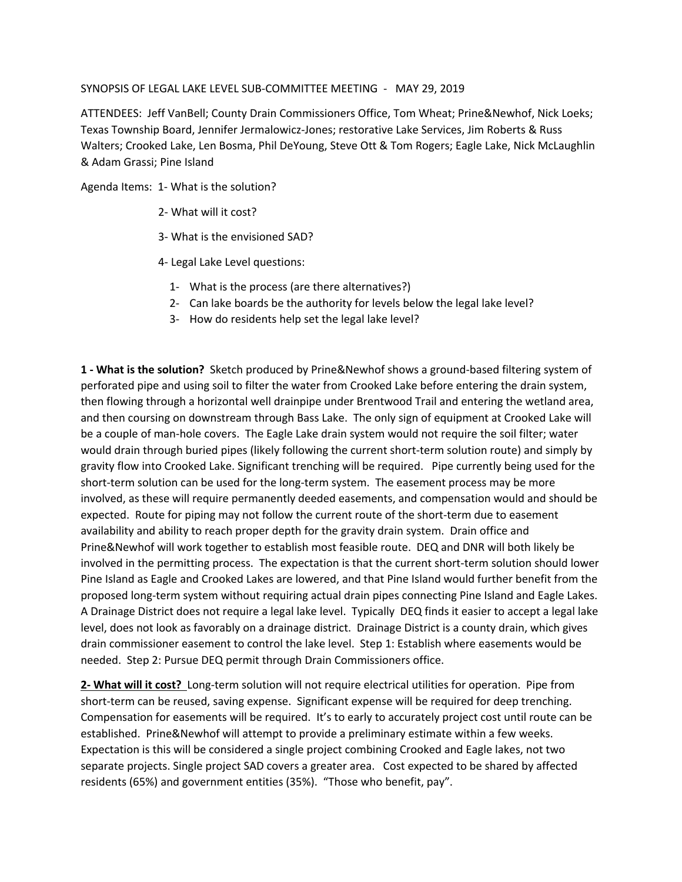## SYNOPSIS OF LEGAL LAKE LEVEL SUB-COMMITTEE MEETING - MAY 29, 2019

ATTENDEES: Jeff VanBell; County Drain Commissioners Office, Tom Wheat; Prine&Newhof, Nick Loeks; Texas Township Board, Jennifer Jermalowicz-Jones; restorative Lake Services, Jim Roberts & Russ Walters; Crooked Lake, Len Bosma, Phil DeYoung, Steve Ott & Tom Rogers; Eagle Lake, Nick McLaughlin & Adam Grassi; Pine Island

Agenda Items: 1- What is the solution?

- 2- What will it cost?
- 3- What is the envisioned SAD?
- 4- Legal Lake Level questions:
	- 1- What is the process (are there alternatives?)
	- 2- Can lake boards be the authority for levels below the legal lake level?
	- 3- How do residents help set the legal lake level?

**1 - What is the solution?** Sketch produced by Prine&Newhof shows a ground-based filtering system of perforated pipe and using soil to filter the water from Crooked Lake before entering the drain system, then flowing through a horizontal well drainpipe under Brentwood Trail and entering the wetland area, and then coursing on downstream through Bass Lake. The only sign of equipment at Crooked Lake will be a couple of man-hole covers. The Eagle Lake drain system would not require the soil filter; water would drain through buried pipes (likely following the current short-term solution route) and simply by gravity flow into Crooked Lake. Significant trenching will be required. Pipe currently being used for the short-term solution can be used for the long-term system. The easement process may be more involved, as these will require permanently deeded easements, and compensation would and should be expected. Route for piping may not follow the current route of the short-term due to easement availability and ability to reach proper depth for the gravity drain system. Drain office and Prine&Newhof will work together to establish most feasible route. DEQ and DNR will both likely be involved in the permitting process. The expectation is that the current short-term solution should lower Pine Island as Eagle and Crooked Lakes are lowered, and that Pine Island would further benefit from the proposed long-term system without requiring actual drain pipes connecting Pine Island and Eagle Lakes. A Drainage District does not require a legal lake level. Typically DEQ finds it easier to accept a legal lake level, does not look as favorably on a drainage district. Drainage District is a county drain, which gives drain commissioner easement to control the lake level. Step 1: Establish where easements would be needed. Step 2: Pursue DEQ permit through Drain Commissioners office.

**2- What will it cost?** Long-term solution will not require electrical utilities for operation. Pipe from short-term can be reused, saving expense. Significant expense will be required for deep trenching. Compensation for easements will be required. It's to early to accurately project cost until route can be established. Prine&Newhof will attempt to provide a preliminary estimate within a few weeks. Expectation is this will be considered a single project combining Crooked and Eagle lakes, not two separate projects. Single project SAD covers a greater area. Cost expected to be shared by affected residents (65%) and government entities (35%). "Those who benefit, pay".